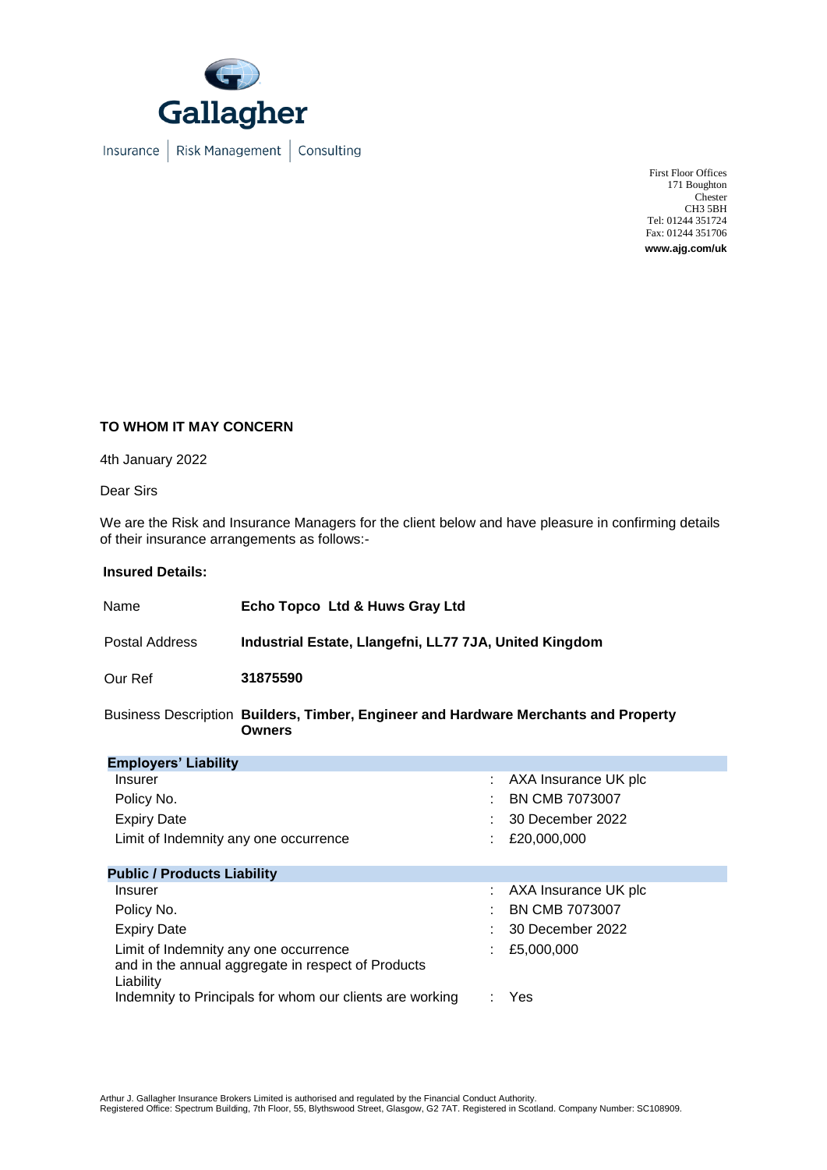

Insurance | Risk Management | Consulting

First Floor Offices 171 Boughton **Chester** CH3 5BH Tel: 01244 351724 Fax: 01244 351706 **www.ajg.com/uk**

## **TO WHOM IT MAY CONCERN**

4th January 2022

Dear Sirs

We are the Risk and Insurance Managers for the client below and have pleasure in confirming details of their insurance arrangements as follows:-

## **Insured Details:**

| Name           | Echo Topco Ltd & Huws Gray Ltd                         |  |
|----------------|--------------------------------------------------------|--|
| Postal Address | Industrial Estate, Llangefni, LL77 7JA, United Kingdom |  |
| Our Ref        | 31875590                                               |  |
| - -            |                                                        |  |

Business Description **Builders, Timber, Engineer and Hardware Merchants and Property Owners**

| <b>Employers' Liability</b>                                                                              |  |                       |
|----------------------------------------------------------------------------------------------------------|--|-----------------------|
| Insurer                                                                                                  |  | AXA Insurance UK plc  |
| Policy No.                                                                                               |  | <b>BN CMB 7073007</b> |
| <b>Expiry Date</b>                                                                                       |  | 30 December 2022      |
| Limit of Indemnity any one occurrence                                                                    |  | £20,000,000           |
| <b>Public / Products Liability</b>                                                                       |  |                       |
| Insurer                                                                                                  |  | AXA Insurance UK plc  |
| Policy No.                                                                                               |  | <b>BN CMB 7073007</b> |
| <b>Expiry Date</b>                                                                                       |  | 30 December 2022      |
| Limit of Indemnity any one occurrence<br>and in the annual aggregate in respect of Products<br>Liability |  | £5,000,000            |
| Indemnity to Principals for whom our clients are working                                                 |  | Yes                   |

Arthur J. Gallagher Insurance Brokers Limited is authorised and regulated by the Financial Conduct Authority.<br>Registered Office: Spectrum Building, 7th Floor, 55, Blythswood Street, Glasgow, G2 7AT. Registered in Scotland.